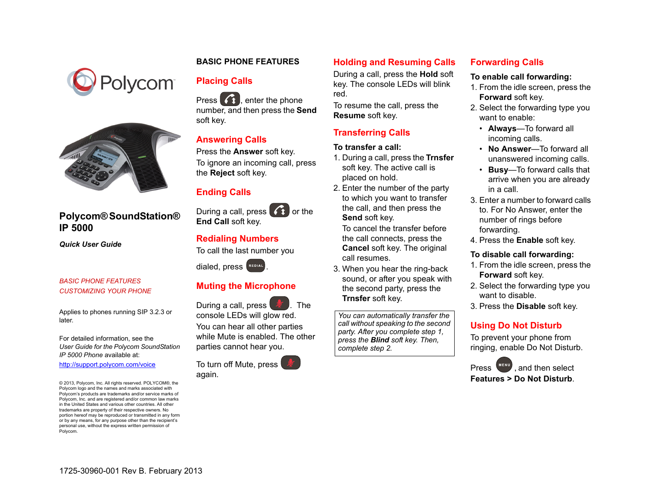



# **Polycom® SoundStation® IP 5000**

*Quick User Guide*

#### *[BASIC PHONE FEATURES](#page-0-0) [CUSTOMIZING YOUR PHONE](#page-1-0)*

Applies to phones running SIP 3.2.3 or later.

For detailed information, see the *User Guide for the Polycom SoundStation IP 5000 Phone* available at:

[http://support.polycom.com/voice](www.polycom.com/support/voicedocumentation/)

© 2013, Polycom, Inc. All rights reserved. POLYCOM®, the Polycom logo and the names and marks associated with Polycom's products are trademarks and/or service marks of Polycom, Inc. and are registered and/or common law marks in the United States and various other countries. All other trademarks are property of their respective owners. No portion hereof may be reproduced or transmitted in any form or by any means, for any purpose other than the recipient's personal use, without the express written permission of Polycom.

## <span id="page-0-0"></span>**BASIC PHONE FEATURES**

# **Placing Calls**

Press  $\left( \right)$ , enter the phone number, and then press the **Send** soft key.

## **Answering Calls**

Press the **Answer** soft key.

To ignore an incoming call, press the **Reject** soft key.

## **Ending Calls**

During a call, press  $\left( \widehat{A} \right)$  or the **End Call** soft key.

## **Redialing Numbers**

To call the last number you

dialed, press **REDIAL** 

# **Muting the Microphone**

During a call, press  $\mathbb{Z}$ . The console LEDs will glow red. You can hear all other parties while Mute is enabled. The other parties cannot hear you.

To turn off Mute, press again.

## **Holding and Resuming Calls**

During a call, press the **Hold** soft key. The console LEDs will blink red.

To resume the call, press the **Resume** soft key.

## **Transferring Calls**

#### **To transfer a call:**

- 1. During a call, press the **Trnsfer** soft key. The active call is placed on hold.
- 2. Enter the number of the party to which you want to transfer the call, and then press the **Send** soft key*.*

To cancel the transfer before the call connects, press the **Cancel** soft key. The original call resumes.

3. When you hear the ring-back sound, or after you speak with the second party, press the **Trnsfer** soft key.

*You can automatically transfer the call without speaking to the second party. After you complete step 1, press the Blind soft key. Then, complete step 2.*

## **Forwarding Calls**

#### **To enable call forwarding:**

- 1. From the idle screen, press the **Forward** soft key.
- 2. Select the forwarding type you want to enable:
	- **Always**—To forward all incoming calls.
	- **No Answer**—To forward all unanswered incoming calls.
	- **Busy**—To forward calls that arrive when you are already in a call.
- 3. Enter a number to forward calls to. For No Answer, enter the number of rings before forwarding.
- 4. Press the **Enable** soft key.

#### **To disable call forwarding:**

- 1. From the idle screen, press the **Forward** soft key.
- 2. Select the forwarding type you want to disable.
- 3. Press the **Disable** soft key.

## <span id="page-0-1"></span>**Using Do Not Disturb**

To prevent your phone from ringing, enable Do Not Disturb.

**Press MENU**, and then select **Features > Do Not Disturb**.